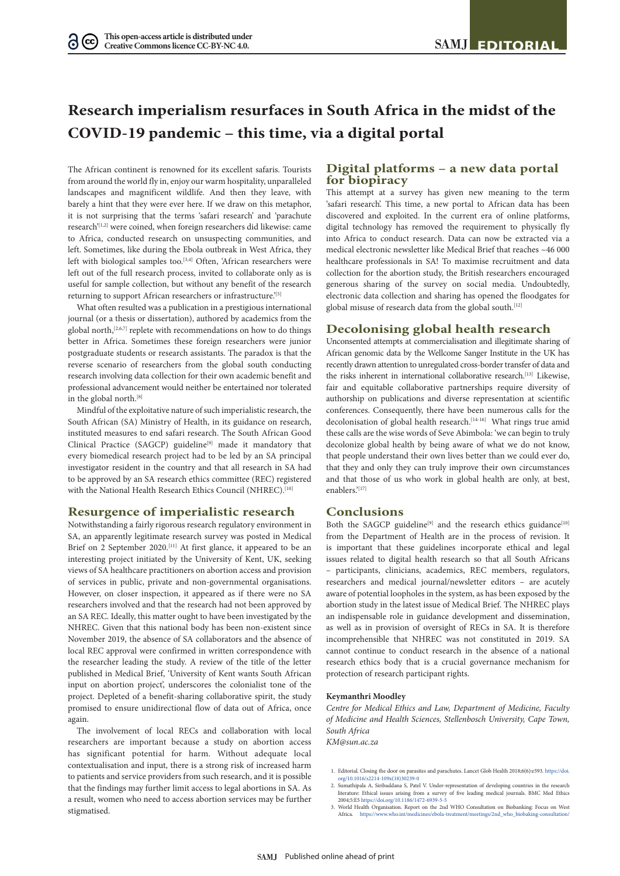# **Research imperialism resurfaces in South Africa in the midst of the COVID-19 pandemic – this time, via a digital portal**

The African continent is renowned for its excellent safaris. Tourists from around the world fly in, enjoy our warm hospitality, unparalleled landscapes and magnificent wildlife. And then they leave, with barely a hint that they were ever here. If we draw on this metaphor, it is not surprising that the terms 'safari research' and 'parachute research'[1,2] were coined, when foreign researchers did likewise: came to Africa, conducted research on unsuspecting communities, and left. Sometimes, like during the Ebola outbreak in West Africa, they left with biological samples too.<sup>[3,4]</sup> Often, 'African researchers were left out of the full research process, invited to collaborate only as is useful for sample collection, but without any benefit of the research returning to support African researchers or infrastructure.<sup>'[5]</sup>

What often resulted was a publication in a prestigious international journal (or a thesis or dissertation), authored by academics from the global north,<sup>[2,6,7]</sup> replete with recommendations on how to do things better in Africa. Sometimes these foreign researchers were junior postgraduate students or research assistants. The paradox is that the reverse scenario of researchers from the global south conducting research involving data collection for their own academic benefit and professional advancement would neither be entertained nor tolerated in the global north.<sup>[8]</sup>

Mindful of the exploitative nature of such imperialistic research, the South African (SA) Ministry of Health, in its guidance on research, instituted measures to end safari research. The South African Good Clinical Practice (SAGCP) guideline<sup>[9]</sup> made it mandatory that every biomedical research project had to be led by an SA principal investigator resident in the country and that all research in SA had to be approved by an SA research ethics committee (REC) registered with the National Health Research Ethics Council (NHREC).<sup>[10]</sup>

### **Resurgence of imperialistic research**

Notwithstanding a fairly rigorous research regulatory environment in SA, an apparently legitimate research survey was posted in Medical Brief on 2 September 2020.<sup>[11]</sup> At first glance, it appeared to be an interesting project initiated by the University of Kent, UK, seeking views of SA healthcare practitioners on abortion access and provision of services in public, private and non-governmental organisations. However, on closer inspection, it appeared as if there were no SA researchers involved and that the research had not been approved by an SA REC. Ideally, this matter ought to have been investigated by the NHREC. Given that this national body has been non-existent since November 2019, the absence of SA collaborators and the absence of local REC approval were confirmed in written correspondence with the researcher leading the study. A review of the title of the letter published in Medical Brief, 'University of Kent wants South African input on abortion project', underscores the colonialist tone of the project. Depleted of a benefit-sharing collaborative spirit, the study promised to ensure unidirectional flow of data out of Africa, once again.

The involvement of local RECs and collaboration with local researchers are important because a study on abortion access has significant potential for harm. Without adequate local contextualisation and input, there is a strong risk of increased harm to patients and service providers from such research, and it is possible that the findings may further limit access to legal abortions in SA. As a result, women who need to access abortion services may be further stigmatised.

## **Digital platforms – a new data portal for biopiracy**

This attempt at a survey has given new meaning to the term 'safari research'. This time, a new portal to African data has been discovered and exploited. In the current era of online platforms, digital technology has removed the requirement to physically fly into Africa to conduct research. Data can now be extracted via a medical electronic newsletter like Medical Brief that reaches ~46 000 healthcare professionals in SA! To maximise recruitment and data collection for the abortion study, the British researchers encouraged generous sharing of the survey on social media. Undoubtedly, electronic data collection and sharing has opened the floodgates for global misuse of research data from the global south.<sup>[12]</sup>

### **Decolonising global health research**

Unconsented attempts at commercialisation and illegitimate sharing of African genomic data by the Wellcome Sanger Institute in the UK has recently drawn attention to unregulated cross-border transfer of data and the risks inherent in international collaborative research.<sup>[13]</sup> Likewise, fair and equitable collaborative partnerships require diversity of authorship on publications and diverse representation at scientific conferences. Consequently, there have been numerous calls for the decolonisation of global health research.<sup>[14-16]</sup> What rings true amid these calls are the wise words of Seve Abimbola: 'we can begin to truly decolonize global health by being aware of what we do not know, that people understand their own lives better than we could ever do, that they and only they can truly improve their own circumstances and that those of us who work in global health are only, at best, enablers.'[17]

#### **Conclusions**

Both the SAGCP guideline<sup>[9]</sup> and the research ethics guidance<sup>[10]</sup> from the Department of Health are in the process of revision. It is important that these guidelines incorporate ethical and legal issues related to digital health research so that all South Africans – participants, clinicians, academics, REC members, regulators, researchers and medical journal/newsletter editors – are acutely aware of potential loopholes in the system, as has been exposed by the abortion study in the latest issue of Medical Brief. The NHREC plays an indispensable role in guidance development and dissemination, as well as in provision of oversight of RECs in SA. It is therefore incomprehensible that NHREC was not constituted in 2019. SA cannot continue to conduct research in the absence of a national research ethics body that is a crucial governance mechanism for protection of research participant rights.

#### **Keymanthri Moodley**

*Centre for Medical Ethics and Law, Department of Medicine, Faculty of Medicine and Health Sciences, Stellenbosch University, Cape Town, South Africa*

*KM@sun.ac.za*

2. Sumathipala A, Siribaddana S, Patel V. Under-representation of developing countries in the research literature: Ethical issues arising from a survey of five leading medical journals. BMC Med Ethics 2004;5:E5 https://doi.org/10.1186/1472-6939-5-5

<sup>1.</sup> Editorial. Closing the door on parasites and parachutes. Lancet Glob Health 2018;6(6):e593. https://doi. org/10.1016/s2214-109x(18)30239-0

<sup>3.</sup> World Health Organisation. Report on the 2nd WHO Consultation on Biobanking: Focus on West<br>3. World Health Organisation. Report on the 2nd WHO Consultation on Biobanking: Focus on West<br>Africa. https://www.who.int/medici Africa. https://www.who.int/medicines/ebola-treatment/meetings/2nd\_who\_biobaki